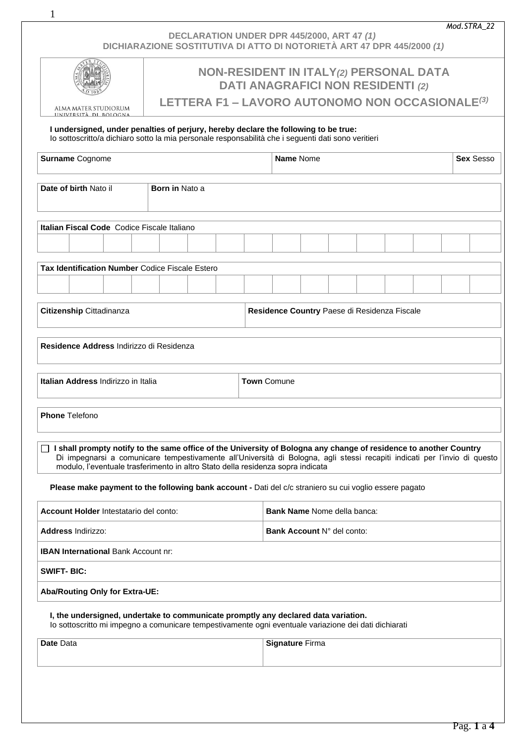*Mod.STRA\_22*

| DECLARATION UNDER DPR 445/2000, ART 47 (1)                             |
|------------------------------------------------------------------------|
| DICHIARAZIONE SOSTITUTIVA DI ATTO DI NOTORIETÀ ART 47 DPR 445/2000 (1) |

1

|                                                                                                                                                                                                                                                                                                                                     | <b>NON-RESIDENT IN ITALY(2) PERSONAL DATA</b><br><b>DATI ANAGRAFICI NON RESIDENTI (2)</b> |  |  |                                              |                               |  |  |  |  |  |  |
|-------------------------------------------------------------------------------------------------------------------------------------------------------------------------------------------------------------------------------------------------------------------------------------------------------------------------------------|-------------------------------------------------------------------------------------------|--|--|----------------------------------------------|-------------------------------|--|--|--|--|--|--|
| ALMA MATER STUDIORUM<br>UNIVERSITÀ DI BOLOGNA                                                                                                                                                                                                                                                                                       | LETTERA F1 - LAVORO AUTONOMO NON OCCASIONALE <sup>(3)</sup>                               |  |  |                                              |                               |  |  |  |  |  |  |
| I undersigned, under penalties of perjury, hereby declare the following to be true:<br>lo sottoscritto/a dichiaro sotto la mia personale responsabilità che i seguenti dati sono veritieri                                                                                                                                          |                                                                                           |  |  |                                              |                               |  |  |  |  |  |  |
| Surname Cognome                                                                                                                                                                                                                                                                                                                     |                                                                                           |  |  |                                              | Name Nome<br><b>Sex Sesso</b> |  |  |  |  |  |  |
| Date of birth Nato il<br><b>Born in Nato a</b>                                                                                                                                                                                                                                                                                      |                                                                                           |  |  |                                              |                               |  |  |  |  |  |  |
| Italian Fiscal Code Codice Fiscale Italiano                                                                                                                                                                                                                                                                                         |                                                                                           |  |  |                                              |                               |  |  |  |  |  |  |
|                                                                                                                                                                                                                                                                                                                                     |                                                                                           |  |  |                                              |                               |  |  |  |  |  |  |
| Tax Identification Number Codice Fiscale Estero                                                                                                                                                                                                                                                                                     |                                                                                           |  |  |                                              |                               |  |  |  |  |  |  |
|                                                                                                                                                                                                                                                                                                                                     |                                                                                           |  |  |                                              |                               |  |  |  |  |  |  |
| Citizenship Cittadinanza                                                                                                                                                                                                                                                                                                            |                                                                                           |  |  | Residence Country Paese di Residenza Fiscale |                               |  |  |  |  |  |  |
| Residence Address Indirizzo di Residenza                                                                                                                                                                                                                                                                                            |                                                                                           |  |  |                                              |                               |  |  |  |  |  |  |
| Italian Address Indirizzo in Italia<br><b>Town Comune</b>                                                                                                                                                                                                                                                                           |                                                                                           |  |  |                                              |                               |  |  |  |  |  |  |
| <b>Phone Telefono</b>                                                                                                                                                                                                                                                                                                               |                                                                                           |  |  |                                              |                               |  |  |  |  |  |  |
| □ I shall prompty notify to the same office of the University of Bologna any change of residence to another Country<br>Di impegnarsi a comunicare tempestivamente all'Università di Bologna, agli stessi recapiti indicati per l'invio di questo<br>modulo, l'eventuale trasferimento in altro Stato della residenza sopra indicata |                                                                                           |  |  |                                              |                               |  |  |  |  |  |  |
| Please make payment to the following bank account - Dati del c/c straniero su cui voglio essere pagato                                                                                                                                                                                                                              |                                                                                           |  |  |                                              |                               |  |  |  |  |  |  |
| Account Holder Intestatario del conto:                                                                                                                                                                                                                                                                                              |                                                                                           |  |  | <b>Bank Name Nome della banca:</b>           |                               |  |  |  |  |  |  |
| Address Indirizzo:                                                                                                                                                                                                                                                                                                                  |                                                                                           |  |  | Bank Account N° del conto:                   |                               |  |  |  |  |  |  |
| <b>IBAN International Bank Account nr:</b>                                                                                                                                                                                                                                                                                          |                                                                                           |  |  |                                              |                               |  |  |  |  |  |  |
| <b>SWIFT-BIC:</b>                                                                                                                                                                                                                                                                                                                   |                                                                                           |  |  |                                              |                               |  |  |  |  |  |  |
| Aba/Routing Only for Extra-UE:                                                                                                                                                                                                                                                                                                      |                                                                                           |  |  |                                              |                               |  |  |  |  |  |  |
| I, the undersigned, undertake to communicate promptly any declared data variation.<br>lo sottoscritto mi impegno a comunicare tempestivamente ogni eventuale variazione dei dati dichiarati                                                                                                                                         |                                                                                           |  |  |                                              |                               |  |  |  |  |  |  |
| Date Data                                                                                                                                                                                                                                                                                                                           |                                                                                           |  |  | <b>Signature Firma</b>                       |                               |  |  |  |  |  |  |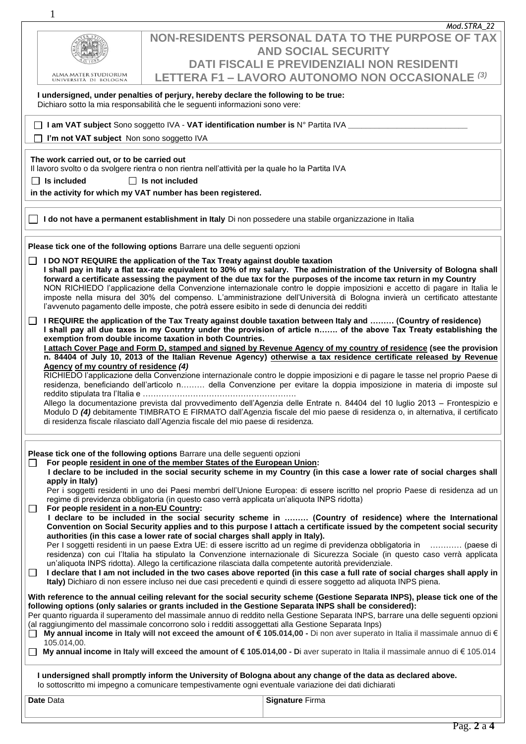| $\mathbf{1}$                                                                                           |                                                                                                                                                                                                                                                                                                                                                                                                                                                                                                                                                                                                                                                                                                                                                                                                                                                                                                                                                                                                                                                                        |  |  |  |  |  |  |
|--------------------------------------------------------------------------------------------------------|------------------------------------------------------------------------------------------------------------------------------------------------------------------------------------------------------------------------------------------------------------------------------------------------------------------------------------------------------------------------------------------------------------------------------------------------------------------------------------------------------------------------------------------------------------------------------------------------------------------------------------------------------------------------------------------------------------------------------------------------------------------------------------------------------------------------------------------------------------------------------------------------------------------------------------------------------------------------------------------------------------------------------------------------------------------------|--|--|--|--|--|--|
|                                                                                                        | Mod.STRA_22                                                                                                                                                                                                                                                                                                                                                                                                                                                                                                                                                                                                                                                                                                                                                                                                                                                                                                                                                                                                                                                            |  |  |  |  |  |  |
|                                                                                                        | NON-RESIDENTS PERSONAL DATA TO THE PURPOSE OF TAX                                                                                                                                                                                                                                                                                                                                                                                                                                                                                                                                                                                                                                                                                                                                                                                                                                                                                                                                                                                                                      |  |  |  |  |  |  |
|                                                                                                        | <b>AND SOCIAL SECURITY</b><br><b>DATI FISCALI E PREVIDENZIALI NON RESIDENTI</b>                                                                                                                                                                                                                                                                                                                                                                                                                                                                                                                                                                                                                                                                                                                                                                                                                                                                                                                                                                                        |  |  |  |  |  |  |
| ALMA MATER STUDIORUM                                                                                   | LETTERA F1 - LAVORO AUTONOMO NON OCCASIONALE (3)                                                                                                                                                                                                                                                                                                                                                                                                                                                                                                                                                                                                                                                                                                                                                                                                                                                                                                                                                                                                                       |  |  |  |  |  |  |
| UNIVERSITÀ DI BOLOGNA                                                                                  |                                                                                                                                                                                                                                                                                                                                                                                                                                                                                                                                                                                                                                                                                                                                                                                                                                                                                                                                                                                                                                                                        |  |  |  |  |  |  |
|                                                                                                        | I undersigned, under penalties of perjury, hereby declare the following to be true:<br>Dichiaro sotto la mia responsabilità che le seguenti informazioni sono vere:                                                                                                                                                                                                                                                                                                                                                                                                                                                                                                                                                                                                                                                                                                                                                                                                                                                                                                    |  |  |  |  |  |  |
|                                                                                                        | □ I am VAT subject Sono soggetto IVA - VAT identification number is N° Partita IVA _______________                                                                                                                                                                                                                                                                                                                                                                                                                                                                                                                                                                                                                                                                                                                                                                                                                                                                                                                                                                     |  |  |  |  |  |  |
| I'm not VAT subject Non sono soggetto IVA                                                              |                                                                                                                                                                                                                                                                                                                                                                                                                                                                                                                                                                                                                                                                                                                                                                                                                                                                                                                                                                                                                                                                        |  |  |  |  |  |  |
| The work carried out, or to be carried out                                                             |                                                                                                                                                                                                                                                                                                                                                                                                                                                                                                                                                                                                                                                                                                                                                                                                                                                                                                                                                                                                                                                                        |  |  |  |  |  |  |
|                                                                                                        | Il lavoro svolto o da svolgere rientra o non rientra nell'attività per la quale ho la Partita IVA                                                                                                                                                                                                                                                                                                                                                                                                                                                                                                                                                                                                                                                                                                                                                                                                                                                                                                                                                                      |  |  |  |  |  |  |
| $\Box$ Is included                                                                                     | $\Box$ Is not included                                                                                                                                                                                                                                                                                                                                                                                                                                                                                                                                                                                                                                                                                                                                                                                                                                                                                                                                                                                                                                                 |  |  |  |  |  |  |
|                                                                                                        | in the activity for which my VAT number has been registered.                                                                                                                                                                                                                                                                                                                                                                                                                                                                                                                                                                                                                                                                                                                                                                                                                                                                                                                                                                                                           |  |  |  |  |  |  |
| I do not have a permanent establishment in Italy Di non possedere una stabile organizzazione in Italia |                                                                                                                                                                                                                                                                                                                                                                                                                                                                                                                                                                                                                                                                                                                                                                                                                                                                                                                                                                                                                                                                        |  |  |  |  |  |  |
|                                                                                                        | Please tick one of the following options Barrare una delle seguenti opzioni                                                                                                                                                                                                                                                                                                                                                                                                                                                                                                                                                                                                                                                                                                                                                                                                                                                                                                                                                                                            |  |  |  |  |  |  |
|                                                                                                        | <b>I DO NOT REQUIRE the application of the Tax Treaty against double taxation</b>                                                                                                                                                                                                                                                                                                                                                                                                                                                                                                                                                                                                                                                                                                                                                                                                                                                                                                                                                                                      |  |  |  |  |  |  |
|                                                                                                        | I shall pay in Italy a flat tax-rate equivalent to 30% of my salary. The administration of the University of Bologna shall<br>forward a certificate assessing the payment of the due tax for the purposes of the income tax return in my Country<br>NON RICHIEDO l'applicazione della Convenzione internazionale contro le doppie imposizioni e accetto di pagare in Italia le<br>imposte nella misura del 30% del compenso. L'amministrazione dell'Università di Bologna invierà un certificato attestante<br>l'avvenuto pagamento delle imposte, che potrà essere esibito in sede di denuncia dei redditi                                                                                                                                                                                                                                                                                                                                                                                                                                                            |  |  |  |  |  |  |
| ⊔<br>Agency of my country of residence (4)                                                             | I REQUIRE the application of the Tax Treaty against double taxation between Italy and  (Country of residence)<br>I shall pay all due taxes in my Country under the provision of article n of the above Tax Treaty establishing the<br>exemption from double income taxation in both Countries.<br>I attach Cover Page and Form D, stamped and signed by Revenue Agency of my country of residence (see the provision<br>n. 84404 of July 10, 2013 of the Italian Revenue Agency) otherwise a tax residence certificate released by Revenue<br>RICHIEDO l'applicazione della Convenzione internazionale contro le doppie imposizioni e di pagare le tasse nel proprio Paese di<br>residenza, beneficiando dell'articolo n della Convenzione per evitare la doppia imposizione in materia di imposte sul<br>Allego la documentazione prevista dal provvedimento dell'Agenzia delle Entrate n. 84404 del 10 luglio 2013 - Frontespizio e<br>Modulo D (4) debitamente TIMBRATO E FIRMATO dall'Agenzia fiscale del mio paese di residenza o, in alternativa, il certificato |  |  |  |  |  |  |
| $\Box$                                                                                                 | di residenza fiscale rilasciato dall'Agenzia fiscale del mio paese di residenza.<br>Please tick one of the following options Barrare una delle seguenti opzioni<br>For people resident in one of the member States of the European Union:<br>I declare to be included in the social security scheme in my Country (in this case a lower rate of social charges shall                                                                                                                                                                                                                                                                                                                                                                                                                                                                                                                                                                                                                                                                                                   |  |  |  |  |  |  |
| apply in Italy)<br>For people resident in a non-EU Country:<br>$\Box$                                  | Per i soggetti residenti in uno dei Paesi membri dell'Unione Europea: di essere iscritto nel proprio Paese di residenza ad un<br>regime di previdenza obbligatoria (in questo caso verrà applicata un'aliquota INPS ridotta)<br>I declare to be included in the social security scheme in  (Country of residence) where the International<br>Convention on Social Security applies and to this purpose I attach a certificate issued by the competent social security<br>authorities (in this case a lower rate of social charges shall apply in Italy).<br>Per I soggetti residenti in un paese Extra UE: di essere iscritto ad un regime di previdenza obbligatoria in  (paese di                                                                                                                                                                                                                                                                                                                                                                                    |  |  |  |  |  |  |
| $\Box$                                                                                                 | residenza) con cui l'Italia ha stipulato la Convenzione internazionale di Sicurezza Sociale (in questo caso verrà applicata<br>un'aliquota INPS ridotta). Allego la certificazione rilasciata dalla competente autorità previdenziale.<br>I declare that I am not included in the two cases above reported (in this case a full rate of social charges shall apply in<br>Italy) Dichiaro di non essere incluso nei due casi precedenti e quindi di essere soggetto ad aliquota INPS piena.                                                                                                                                                                                                                                                                                                                                                                                                                                                                                                                                                                             |  |  |  |  |  |  |
| $\Box$<br>105.014,00.                                                                                  | With reference to the annual ceiling relevant for the social security scheme (Gestione Separata INPS), please tick one of the<br>following options (only salaries or grants included in the Gestione Separata INPS shall be considered):<br>Per quanto riguarda il superamento del massimale annuo di reddito nella Gestione Separata INPS, barrare una delle seguenti opzioni<br>(al raggiungimento del massimale concorrono solo i redditi assoggettati alla Gestione Separata Inps)<br>My annual income in Italy will not exceed the amount of € 105.014,00 - Di non aver superato in Italia il massimale annuo di €<br>My annual income in Italy will exceed the amount of € 105.014,00 - Di aver superato in Italia il massimale annuo di € 105.014                                                                                                                                                                                                                                                                                                               |  |  |  |  |  |  |
|                                                                                                        | I undersigned shall promptly inform the University of Bologna about any change of the data as declared above.<br>lo sottoscritto mi impegno a comunicare tempestivamente ogni eventuale variazione dei dati dichiarati                                                                                                                                                                                                                                                                                                                                                                                                                                                                                                                                                                                                                                                                                                                                                                                                                                                 |  |  |  |  |  |  |

| Date Data<br>. | $- \cdot$<br><b>Claimatican</b><br>Firma<br>- 10<br>папие<br>__ |
|----------------|-----------------------------------------------------------------|
|                |                                                                 |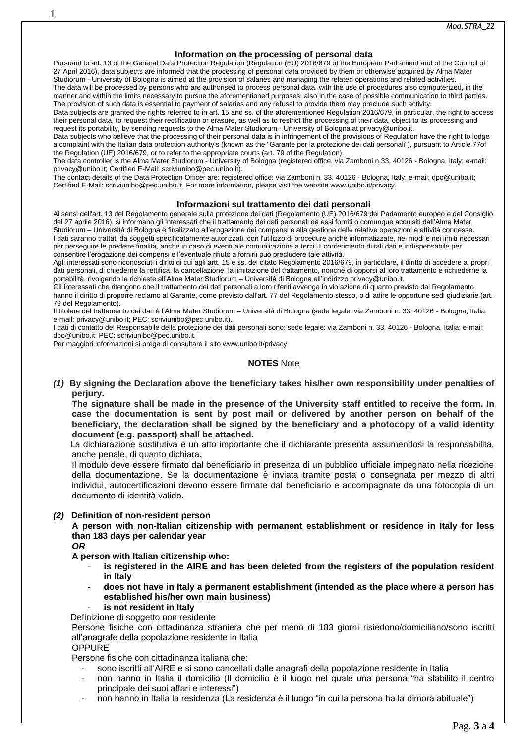# **Information on the processing of personal data**

Pursuant to art. 13 of the General Data Protection Regulation (Regulation (EU) 2016/679 of the European Parliament and of the Council of 27 April 2016), data subjects are informed that the processing of personal data provided by them or otherwise acquired by Alma Mater Studiorum - University of Bologna is aimed at the provision of salaries and managing the related operations and related activities.

The data will be processed by persons who are authorised to process personal data, with the use of procedures also computerized, in the manner and within the limits necessary to pursue the aforementioned purposes, also in the case of possible communication to third parties. The provision of such data is essential to payment of salaries and any refusal to provide them may preclude such activity.

Data subjects are granted the rights referred to in art. 15 and ss. of the aforementioned Regulation 2016/679, in particular, the right to access their personal data, to request their rectification or erasure, as well as to restrict the processing of their data, object to its processing and request its portability, by sending requests to the Alma Mater Studiorum - University of Bologna at privacy@unibo.it.

Data subjects who believe that the processing of their personal data is in infringement of the provisions of Regulation have the right to lodge a complaint with the Italian data protection authority's (known as the "Garante per la protezione dei dati personali"), pursuant to Article 77of the Regulation (UE) 2016/679, or to refer to the appropriate courts (art. 79 of the Regulation).

The data controller is the Alma Mater Studiorum - University of Bologna (registered office: via Zamboni n.33, 40126 - Bologna, Italy; e-mail: privacy@unibo.it; Certified E-Mail: scriviunibo@pec.unibo.it).

The contact details of the Data Protection Officer are: registered office: via Zamboni n. 33, 40126 - Bologna, Italy; e-mail: dpo@unibo.it; Certified E-Mail: scriviunibo@pec.unibo.it. For more information, please visit the website www.unibo.it/privacy.

#### **Informazioni sul trattamento dei dati personali**

Ai sensi dell'art. 13 del Regolamento generale sulla protezione dei dati (Regolamento (UE) 2016/679 del Parlamento europeo e del Consiglio del 27 aprile 2016), si informano gli interessati che il trattamento dei dati personali da essi forniti o comunque acquisiti dall'Alma Mater Studiorum – Università di Bologna è finalizzato all'erogazione dei compensi e alla gestione delle relative operazioni e attività connesse. I dati saranno trattati da soggetti specificatamente autorizzati, con l'utilizzo di procedure anche informatizzate, nei modi e nei limiti necessari per perseguire le predette finalità, anche in caso di eventuale comunicazione a terzi. Il conferimento di tali dati è indispensabile per consentire l'erogazione dei compensi e l'eventuale rifiuto a fornirli può precludere tale attività.

Agli interessati sono riconosciuti i diritti di cui agli artt. 15 e ss. del citato Regolamento 2016/679, in particolare, il diritto di accedere ai propri dati personali, di chiederne la rettifica, la cancellazione, la limitazione del trattamento, nonché di opporsi al loro trattamento e richiederne la portabilità, rivolgendo le richieste all'Alma Mater Studiorum – Università di Bologna all'indirizzo privacy@unibo.it.

Gli interessati che ritengono che il trattamento dei dati personali a loro riferiti avvenga in violazione di quanto previsto dal Regolamento hanno il diritto di proporre reclamo al Garante, come previsto dall'art. 77 del Regolamento stesso, o di adire le opportune sedi giudiziarie (art. 79 del Regolamento).

Il titolare del trattamento dei dati è l'Alma Mater Studiorum – Università di Bologna (sede legale: via Zamboni n. 33, 40126 - Bologna, Italia; e-mail: privacy@unibo.it; PEC: scriviunibo@pec.unibo.it).

I dati di contatto del Responsabile della protezione dei dati personali sono: sede legale: via Zamboni n. 33, 40126 - Bologna, Italia; e-mail: dpo@unibo.it; PEC: scriviunibo@pec.unibo.it.

Per maggiori informazioni si prega di consultare il sito www.unibo.it/privacy

# **NOTES** Note

*(1)* **By signing the Declaration above the beneficiary takes his/her own responsibility under penalties of perjury.**

**The signature shall be made in the presence of the University staff entitled to receive the form. In case the documentation is sent by post mail or delivered by another person on behalf of the beneficiary, the declaration shall be signed by the beneficiary and a photocopy of a valid identity document (e.g. passport) shall be attached.**

 La dichiarazione sostitutiva è un atto importante che il dichiarante presenta assumendosi la responsabilità, anche penale, di quanto dichiara.

Il modulo deve essere firmato dal beneficiario in presenza di un pubblico ufficiale impegnato nella ricezione della documentazione. Se la documentazione è inviata tramite posta o consegnata per mezzo di altri individui, autocertificazioni devono essere firmate dal beneficiario e accompagnate da una fotocopia di un documento di identità valido.

### *(2)* **Definition of non-resident person**

**A person with non-Italian citizenship with permanent establishment or residence in Italy for less than 183 days per calendar year**

*OR*

1

**A person with Italian citizenship who:**

- **is registered in the AIRE and has been deleted from the registers of the population resident in Italy**
- **does not have in Italy a permanent establishment (intended as the place where a person has established his/her own main business)**
	- is not resident in Italy

Definizione di soggetto non residente

Persone fisiche con cittadinanza straniera che per meno di 183 giorni risiedono/domiciliano/sono iscritti all'anagrafe della popolazione residente in Italia **OPPURE** 

Persone fisiche con cittadinanza italiana che:

- sono iscritti all'AIRE e si sono cancellati dalle anagrafi della popolazione residente in Italia
- non hanno in Italia il domicilio (Il domicilio è il luogo nel quale una persona "ha stabilito il centro principale dei suoi affari e interessi")
- non hanno in Italia la residenza (La residenza è il luogo "in cui la persona ha la dimora abituale")